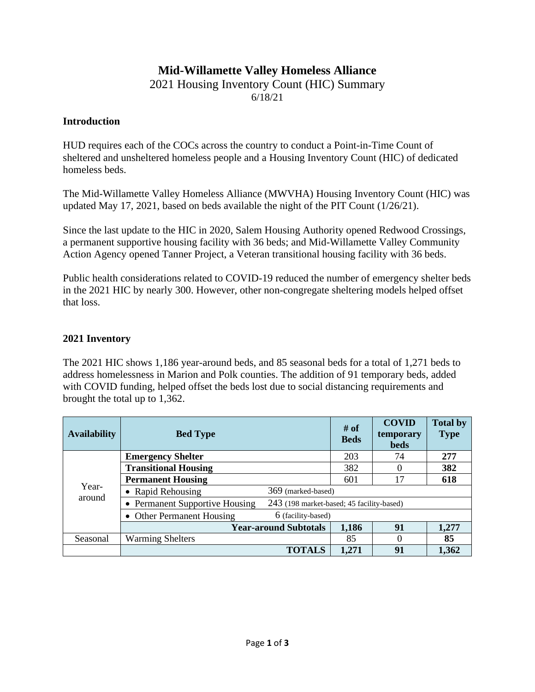# **Mid-Willamette Valley Homeless Alliance**

#### 2021 Housing Inventory Count (HIC) Summary 6/18/21

#### **Introduction**

HUD requires each of the COCs across the country to conduct a Point-in-Time Count of sheltered and unsheltered homeless people and a Housing Inventory Count (HIC) of dedicated homeless beds.

The Mid-Willamette Valley Homeless Alliance (MWVHA) Housing Inventory Count (HIC) was updated May 17, 2021, based on beds available the night of the PIT Count (1/26/21).

Since the last update to the HIC in 2020, Salem Housing Authority opened Redwood Crossings, a permanent supportive housing facility with 36 beds; and Mid-Willamette Valley Community Action Agency opened Tanner Project, a Veteran transitional housing facility with 36 beds.

Public health considerations related to COVID-19 reduced the number of emergency shelter beds in the 2021 HIC by nearly 300. However, other non-congregate sheltering models helped offset that loss.

## **2021 Inventory**

The 2021 HIC shows 1,186 year-around beds, and 85 seasonal beds for a total of 1,271 beds to address homelessness in Marion and Polk counties. The addition of 91 temporary beds, added with COVID funding, helped offset the beds lost due to social distancing requirements and brought the total up to 1,362.

| <b>Availability</b> | <b>Bed Type</b>                                                             | # of<br><b>Beds</b> | <b>COVID</b><br>temporary<br><b>beds</b> | <b>Total by</b><br><b>Type</b> |       |  |  |  |
|---------------------|-----------------------------------------------------------------------------|---------------------|------------------------------------------|--------------------------------|-------|--|--|--|
| Year-<br>around     | <b>Emergency Shelter</b>                                                    |                     | 203                                      | 74                             | 277   |  |  |  |
|                     | <b>Transitional Housing</b>                                                 | 382                 |                                          | 382                            |       |  |  |  |
|                     | <b>Permanent Housing</b>                                                    | 601                 | 17                                       | 618                            |       |  |  |  |
|                     | • Rapid Rehousing                                                           | 369 (marked-based)  |                                          |                                |       |  |  |  |
|                     | 243 (198 market-based; 45 facility-based)<br>• Permanent Supportive Housing |                     |                                          |                                |       |  |  |  |
|                     | • Other Permanent Housing                                                   | 6 (facility-based)  |                                          |                                |       |  |  |  |
|                     | <b>Year-around Subtotals</b>                                                |                     | 1,186                                    | 91                             | 1,277 |  |  |  |
| Seasonal            | <b>Warming Shelters</b>                                                     |                     | 85                                       | 0                              | 85    |  |  |  |
|                     |                                                                             | <b>TOTALS</b>       | 1,271                                    | 91                             | 1,362 |  |  |  |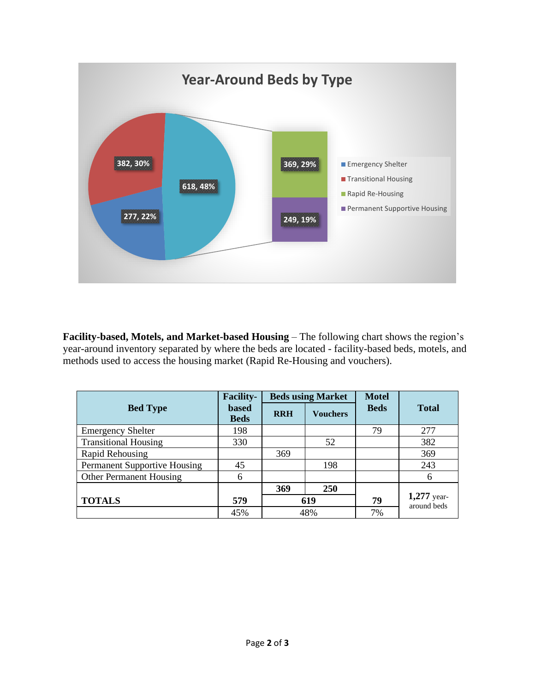

**Facility-based, Motels, and Market-based Housing** – The following chart shows the region's year-around inventory separated by where the beds are located - facility-based beds, motels, and methods used to access the housing market (Rapid Re-Housing and vouchers).

|                                     | <b>Facility-</b><br><b>Beds using Market</b> |            | <b>Motel</b>    |             |                              |  |
|-------------------------------------|----------------------------------------------|------------|-----------------|-------------|------------------------------|--|
| <b>Bed Type</b>                     | <b>based</b><br><b>Beds</b>                  | <b>RRH</b> | <b>Vouchers</b> | <b>Beds</b> | <b>Total</b>                 |  |
| <b>Emergency Shelter</b>            | 198                                          |            |                 | 79          | 277                          |  |
| <b>Transitional Housing</b>         | 330                                          |            | 52              |             | 382                          |  |
| Rapid Rehousing                     |                                              | 369        |                 |             | 369                          |  |
| <b>Permanent Supportive Housing</b> | 45                                           |            | 198             |             | 243                          |  |
| Other Permanent Housing             | 6                                            |            |                 |             | 6                            |  |
|                                     |                                              | 369        | 250             |             |                              |  |
| <b>TOTALS</b>                       | 579                                          | 619        |                 | 79          | $1,277$ year-<br>around beds |  |
|                                     | 45%                                          | 48%        |                 | 7%          |                              |  |